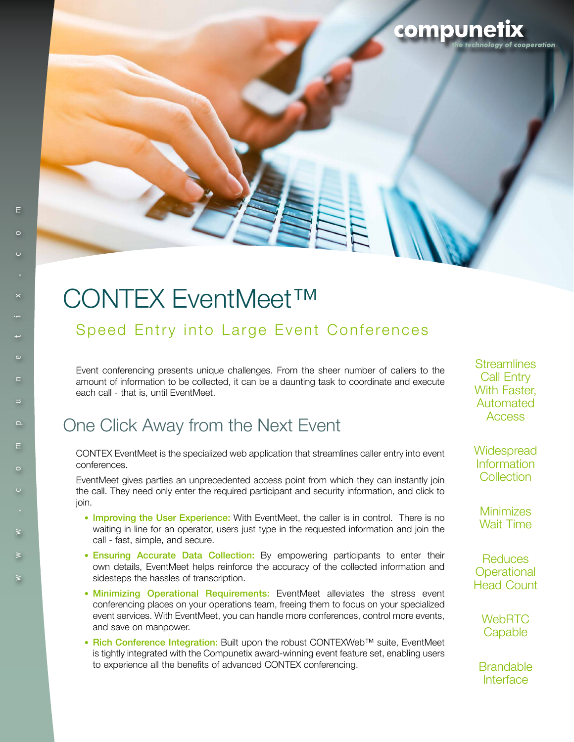# CONTEX EventMeet™

#### Speed Entry into Large Event Conferences

Event conferencing presents unique challenges. From the sheer number of callers to the amount of information to be collected, it can be a daunting task to coordinate and execute each call - that is, until EventMeet.

## One Click Away from the Next Event

CONTEX EventMeet is the specialized web application that streamlines caller entry into event conferences.

EventMeet gives parties an unprecedented access point from which they can instantly join the call. They need only enter the required participant and security information, and click to join.

- Improving the User Experience: With EventMeet, the caller is in control. There is no waiting in line for an operator, users just type in the requested information and join the call - fast, simple, and secure.
- Ensuring Accurate Data Collection: By empowering participants to enter their own details, EventMeet helps reinforce the accuracy of the collected information and sidesteps the hassles of transcription.
- Minimizing Operational Requirements: EventMeet alleviates the stress event conferencing places on your operations team, freeing them to focus on your specialized event services. With EventMeet, you can handle more conferences, control more events, and save on manpower.
- Rich Conference Integration: Built upon the robust CONTEXWeb™ suite, EventMeet is tightly integrated with the Compunetix award-winning event feature set, enabling users to experience all the benefits of advanced CONTEX conferencing.

**Streamlines** Call Entry With Faster, Automated **Access** 

compunet

loav of cooperation

**Widespread** Information **Collection** 

**Minimizes** Wait Time

**Reduces Operational** Head Count

> **WebRTC Capable**

**Brandable** Interface